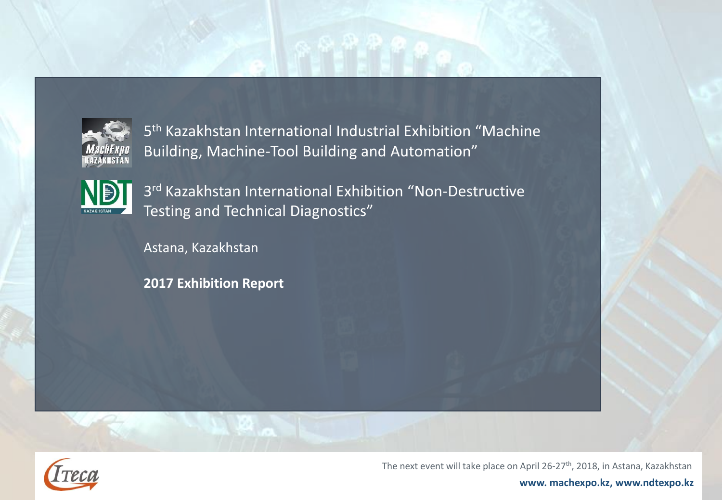

5 th Kazakhstan International Industrial Exhibition "Machine Building, Machine-Tool Building and Automation"



3 rd Kazakhstan International Exhibition "Non-Destructive Testing and Technical Diagnostics"

Astana, Kazakhstan

**2017 Exhibition Report**



The next event will take place on April 26-27<sup>th</sup>, 2018, in Astana, Kazakhstan

**www. machexpo.kz, www.ndtexpo.kz**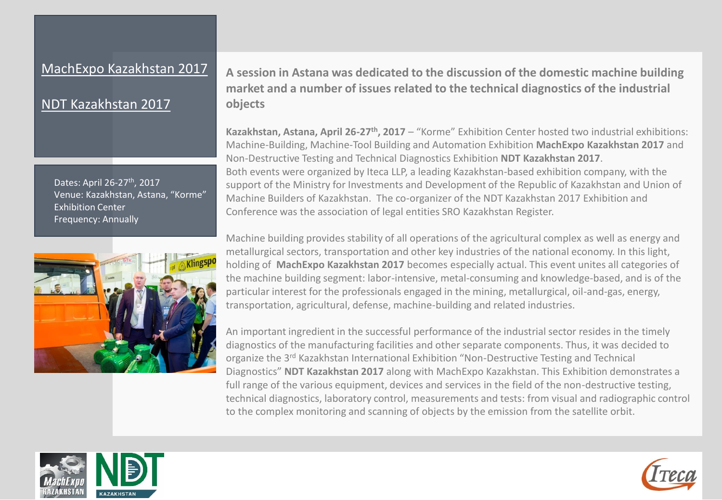#### MachExpo Kazakhstan 2017

### NDT Kazakhstan 2017

Dates: April 26-27<sup>th</sup>, 2017 Venue: Kazakhstan, Astana, "Korme" Exhibition Center Frequency: Annually



**A session in Astana was dedicated to the discussion of the domestic machine building market and a number of issues related to the technical diagnostics of the industrial objects**

**Kazakhstan, Astana, April 26-27th, 2017** – "Korme" Exhibition Center hosted two industrial exhibitions: Machine-Building, Machine-Tool Building and Automation Exhibition **MachExpo Kazakhstan 2017** and Non-Destructive Testing and Technical Diagnostics Exhibition **NDT Kazakhstan 2017**. Both events were organized by Iteca LLP, a leading Kazakhstan-based exhibition company, with the support of the Ministry for Investments and Development of the Republic of Kazakhstan and Union of Machine Builders of Kazakhstan. The co-organizer of the NDT Kazakhstan 2017 Exhibition and Conference was the association of legal entities SRO Kazakhstan Register.

Machine building provides stability of all operations of the agricultural complex as well as energy and metallurgical sectors, transportation and other key industries of the national economy. In this light, holding of **MachExpo Kazakhstan 2017** becomes especially actual. This event unites all categories of the machine building segment: labor-intensive, metal-consuming and knowledge-based, and is of the particular interest for the professionals engaged in the mining, metallurgical, oil-and-gas, energy, transportation, agricultural, defense, machine-building and related industries.

An important ingredient in the successful performance of the industrial sector resides in the timely diagnostics of the manufacturing facilities and other separate components. Thus, it was decided to organize the 3<sup>rd</sup> Kazakhstan International Exhibition "Non-Destructive Testing and Technical Diagnostics" **NDT Kazakhstan 2017** along with MachExpo Kazakhstan. This Exhibition demonstrates a full range of the various equipment, devices and services in the field of the non-destructive testing, technical diagnostics, laboratory control, measurements and tests: from visual and radiographic control to the complex monitoring and scanning of objects by the emission from the satellite orbit.



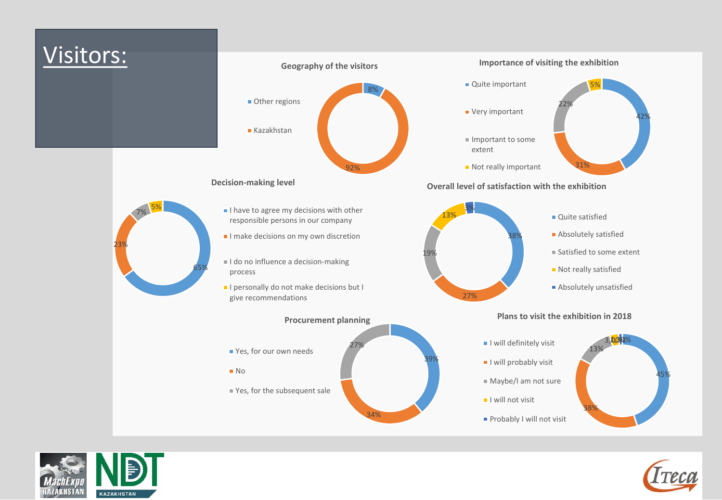



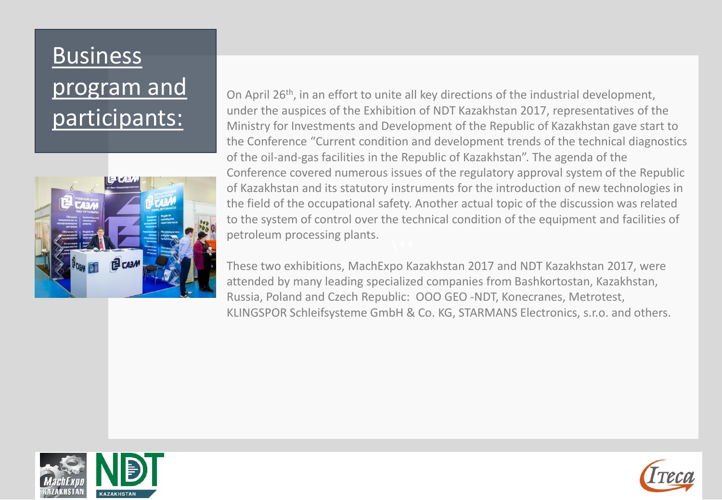# **Business** program and participants:



On April 26<sup>th</sup>, in an effort to unite all key directions of the industrial development, under the auspices of the Exhibition of NDT Kazakhstan 2017, representatives of the Ministry for Investments and Development of the Republic of Kazakhstan gave start to the Conference "Current condition and development trends of the technical diagnostics of the oil-and-gas facilities in the Republic of Kazakhstan". The agenda of the Conference covered numerous issues of the regulatory approval system of the Republic of Kazakhstan and its statutory instruments for the introduction of new technologies in the field of the occupational safety. Another actual topic of the discussion was related to the system of control over the technical condition of the equipment and facilities of petroleum processing plants.

These two exhibitions, MachExpo Kazakhstan 2017 and NDT Kazakhstan 2017, were attended by many leading specialized companies from Bashkortostan, Kazakhstan, Russia, Poland and Czech Republic: ООО GEO -NDT, Konecranes, Metrotest, KLINGSPOR Schleifsysteme GmbH & Co. KG, STARMANS Electronics, s.r.o. and others.



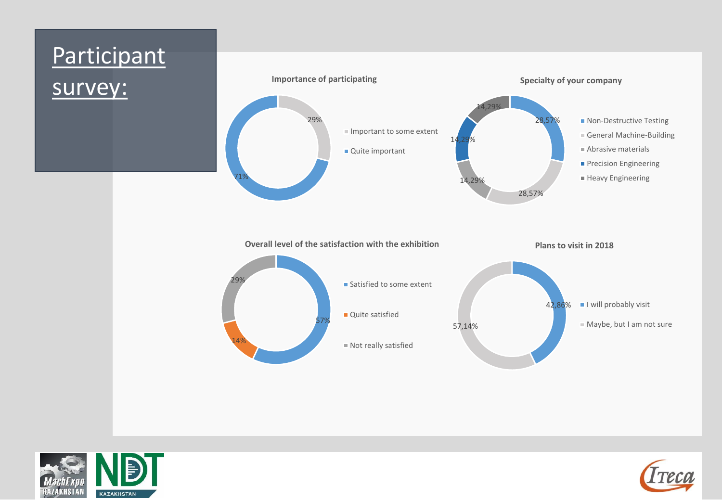## Participant survey: